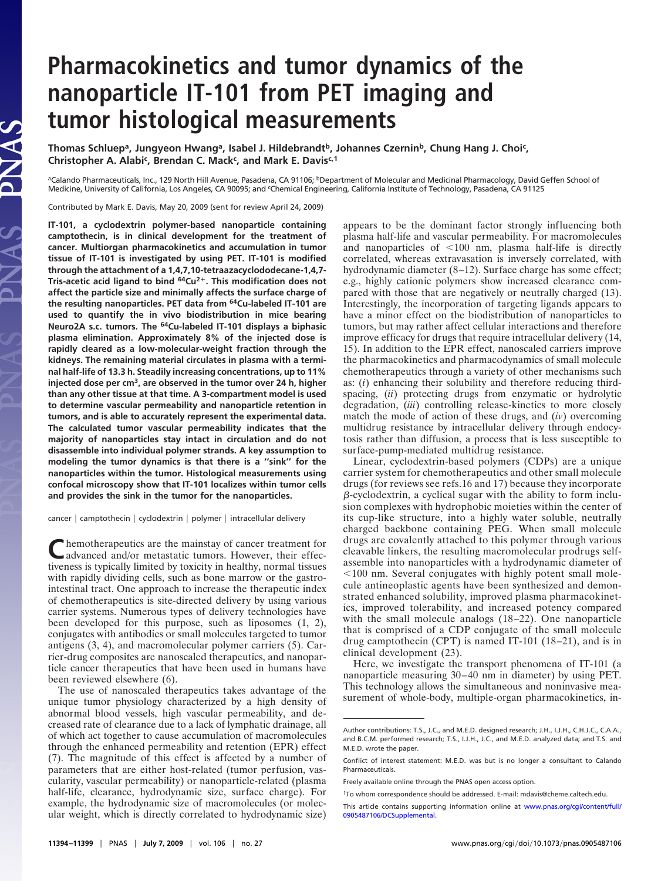## **Pharmacokinetics and tumor dynamics of the nanoparticle IT-101 from PET imaging and tumor histological measurements**

**Thomas Schluepa, Jungyeon Hwanga, Isabel J. Hildebrandtb, Johannes Czerninb, Chung Hang J. Choic ,** Christopher A. Alabi<sup>c</sup>, Brendan C. Mack<sup>c</sup>, and Mark E. Davis<sup>c,1</sup>

aCalando Pharmaceuticals, Inc., 129 North Hill Avenue, Pasadena, CA 91106; <sup>b</sup>Department of Molecular and Medicinal Pharmacology, David Geffen School of Medicine, University of California, Los Angeles, CA 90095; and <sup>c</sup>Chemical Engineering, California Institute of Technology, Pasadena, CA 91125

Contributed by Mark E. Davis, May 20, 2009 (sent for review April 24, 2009)

JAS

**IT-101, a cyclodextrin polymer-based nanoparticle containing camptothecin, is in clinical development for the treatment of cancer. Multiorgan pharmacokinetics and accumulation in tumor tissue of IT-101 is investigated by using PET. IT-101 is modified through the attachment of a 1,4,7,10-tetraazacyclododecane-1,4,7- Tris-acetic acid ligand to bind 64Cu2. This modification does not affect the particle size and minimally affects the surface charge of the resulting nanoparticles. PET data from 64Cu-labeled IT-101 are used to quantify the in vivo biodistribution in mice bearing Neuro2A s.c. tumors. The 64Cu-labeled IT-101 displays a biphasic plasma elimination. Approximately 8% of the injected dose is rapidly cleared as a low-molecular-weight fraction through the kidneys. The remaining material circulates in plasma with a terminal half-life of 13.3 h. Steadily increasing concentrations, up to 11% injected dose per cm3, are observed in the tumor over 24 h, higher than any other tissue at that time. A 3-compartment model is used to determine vascular permeability and nanoparticle retention in tumors, and is able to accurately represent the experimental data. The calculated tumor vascular permeability indicates that the majority of nanoparticles stay intact in circulation and do not disassemble into individual polymer strands. A key assumption to modeling the tumor dynamics is that there is a ''sink'' for the nanoparticles within the tumor. Histological measurements using confocal microscopy show that IT-101 localizes within tumor cells and provides the sink in the tumor for the nanoparticles.**

cancer | camptothecin | cyclodextrin | polymer | intracellular delivery

Chemotherapeutics are the mainstay of cancer treatment for advanced and/or metastatic tumors. However, their effectiveness is typically limited by toxicity in healthy, normal tissues with rapidly dividing cells, such as bone marrow or the gastrointestinal tract. One approach to increase the therapeutic index of chemotherapeutics is site-directed delivery by using various carrier systems. Numerous types of delivery technologies have been developed for this purpose, such as liposomes (1, 2), conjugates with antibodies or small molecules targeted to tumor antigens (3, 4), and macromolecular polymer carriers (5). Carrier-drug composites are nanoscaled therapeutics, and nanoparticle cancer therapeutics that have been used in humans have been reviewed elsewhere (6).

The use of nanoscaled therapeutics takes advantage of the unique tumor physiology characterized by a high density of abnormal blood vessels, high vascular permeability, and decreased rate of clearance due to a lack of lymphatic drainage, all of which act together to cause accumulation of macromolecules through the enhanced permeability and retention (EPR) effect (7). The magnitude of this effect is affected by a number of parameters that are either host-related (tumor perfusion, vascularity, vascular permeability) or nanoparticle-related (plasma half-life, clearance, hydrodynamic size, surface charge). For example, the hydrodynamic size of macromolecules (or molecular weight, which is directly correlated to hydrodynamic size) appears to be the dominant factor strongly influencing both plasma half-life and vascular permeability. For macromolecules and nanoparticles of  $\leq 100$  nm, plasma half-life is directly correlated, whereas extravasation is inversely correlated, with hydrodynamic diameter (8–12). Surface charge has some effect; e.g., highly cationic polymers show increased clearance compared with those that are negatively or neutrally charged (13). Interestingly, the incorporation of targeting ligands appears to have a minor effect on the biodistribution of nanoparticles to tumors, but may rather affect cellular interactions and therefore improve efficacy for drugs that require intracellular delivery (14, 15). In addition to the EPR effect, nanoscaled carriers improve the pharmacokinetics and pharmacodynamics of small molecule chemotherapeutics through a variety of other mechanisms such as: (*i*) enhancing their solubility and therefore reducing thirdspacing, (*ii*) protecting drugs from enzymatic or hydrolytic degradation, (*iii*) controlling release-kinetics to more closely match the mode of action of these drugs, and (*iv*) overcoming multidrug resistance by intracellular delivery through endocytosis rather than diffusion, a process that is less susceptible to surface-pump-mediated multidrug resistance.

Linear, cyclodextrin-based polymers (CDPs) are a unique carrier system for chemotherapeutics and other small molecule drugs (for reviews see refs.16 and 17) because they incorporate  $\beta$ -cyclodextrin, a cyclical sugar with the ability to form inclusion complexes with hydrophobic moieties within the center of its cup-like structure, into a highly water soluble, neutrally charged backbone containing PEG. When small molecule drugs are covalently attached to this polymer through various cleavable linkers, the resulting macromolecular prodrugs selfassemble into nanoparticles with a hydrodynamic diameter of  $100$  nm. Several conjugates with highly potent small molecule antineoplastic agents have been synthesized and demonstrated enhanced solubility, improved plasma pharmacokinetics, improved tolerability, and increased potency compared with the small molecule analogs (18–22). One nanoparticle that is comprised of a CDP conjugate of the small molecule drug camptothecin (CPT) is named IT-101 (18–21), and is in clinical development (23).

Here, we investigate the transport phenomena of IT-101 (a nanoparticle measuring 30–40 nm in diameter) by using PET. This technology allows the simultaneous and noninvasive measurement of whole-body, multiple-organ pharmacokinetics, in-

Author contributions: T.S., J.C., and M.E.D. designed research; J.H., I.J.H., C.H.J.C., C.A.A., and B.C.M. performed research; T.S., I.J.H., J.C., and M.E.D. analyzed data; and T.S. and M.E.D. wrote the paper.

Conflict of interest statement: M.E.D. was but is no longer a consultant to Calando Pharmaceuticals.

Freely available online through the PNAS open access option.

<sup>1</sup>To whom correspondence should be addressed. E-mail: mdavis@cheme.caltech.edu.

This article contains supporting information online at [www.pnas.org/cgi/content/full/](http://www.pnas.org/cgi/content/full/0905487106/DCSupplemental) [0905487106/DCSupplemental.](http://www.pnas.org/cgi/content/full/0905487106/DCSupplemental)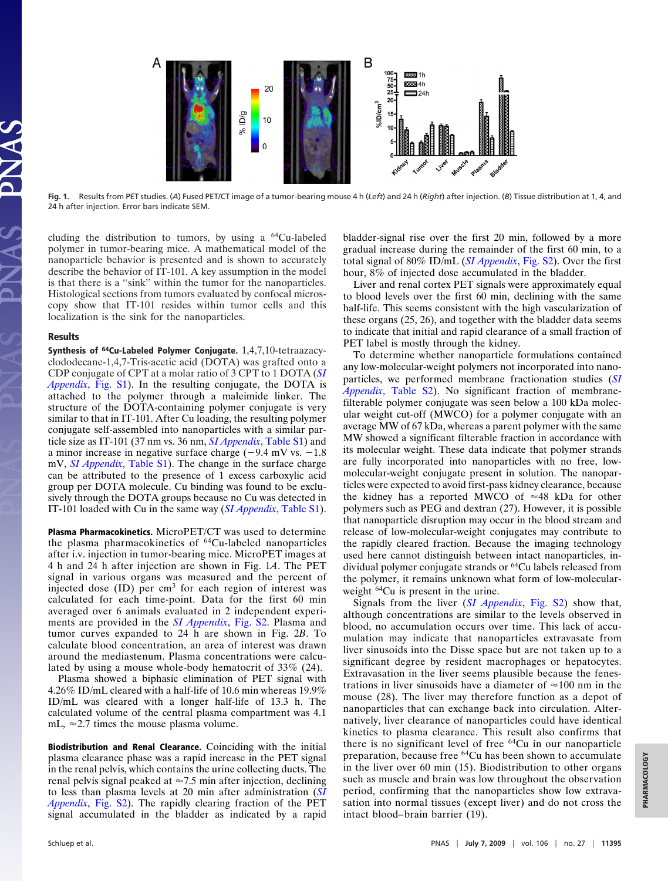

**Fig. 1.** Results from PET studies. (*A*) Fused PET/CT image of a tumor-bearing mouse4h(*Left*) and 24 h (*Right*) after injection. (*B*) Tissue distribution at 1, 4, and 24 h after injection. Error bars indicate SEM.

cluding the distribution to tumors, by using a  $^{64}$ Cu-labeled polymer in tumor-bearing mice. A mathematical model of the nanoparticle behavior is presented and is shown to accurately describe the behavior of IT-101. A key assumption in the model is that there is a ''sink'' within the tumor for the nanoparticles. Histological sections from tumors evaluated by confocal microscopy show that IT-101 resides within tumor cells and this localization is the sink for the nanoparticles.

## **Results**

**Synthesis of 64Cu-Labeled Polymer Conjugate.** 1,4,7,10-tetraazacyclododecane-1,4,7-Tris-acetic acid (DOTA) was grafted onto a CDP conjugate of CPT at a molar ratio of 3 CPT to 1 DOTA (*[SI](http://www.pnas.org/cgi/data/0905487106/DCSupplemental/Appendix_PDF) Appendix*[, Fig. S1\)](http://www.pnas.org/cgi/data/0905487106/DCSupplemental/Appendix_PDF). In the resulting conjugate, the DOTA is attached to the polymer through a maleimide linker. The structure of the DOTA-containing polymer conjugate is very similar to that in IT-101. After Cu loading, the resulting polymer conjugate self-assembled into nanoparticles with a similar particle size as IT-101 (37 nm vs. 36 nm, *[SI Appendix](http://www.pnas.org/cgi/data/0905487106/DCSupplemental/Appendix_PDF)*, Table S1) and a minor increase in negative surface charge  $(-9.4 \text{ mV vs. } -1.8$ mV, *[SI Appendix](http://www.pnas.org/cgi/data/0905487106/DCSupplemental/Appendix_PDF)*, Table S1). The change in the surface charge can be attributed to the presence of 1 excess carboxylic acid group per DOTA molecule. Cu binding was found to be exclusively through the DOTA groups because no Cu was detected in IT-101 loaded with Cu in the same way (*[SI Appendix](http://www.pnas.org/cgi/data/0905487106/DCSupplemental/Appendix_PDF)*, Table S1).

**Plasma Pharmacokinetics.** MicroPET/CT was used to determine the plasma pharmacokinetics of 64Cu-labeled nanoparticles after i.v. injection in tumor-bearing mice. MicroPET images at 4 h and 24 h after injection are shown in Fig. 1*A*. The PET signal in various organs was measured and the percent of injected dose  $(ID)$  per cm<sup>3</sup> for each region of interest was calculated for each time-point. Data for the first 60 min averaged over 6 animals evaluated in 2 independent experiments are provided in the *[SI Appendix](http://www.pnas.org/cgi/data/0905487106/DCSupplemental/Appendix_PDF)*, [Fig. S2.](http://www.pnas.org/cgi/data/0905487106/DCSupplemental/Supplemental_PDF#nameddest=SF2) Plasma and tumor curves expanded to 24 h are shown in Fig. 2*B*. To calculate blood concentration, an area of interest was drawn around the mediastenum. Plasma concentrations were calculated by using a mouse whole-body hematocrit of 33% (24).

Plasma showed a biphasic elimination of PET signal with 4.26% ID/mL cleared with a half-life of 10.6 min whereas 19.9% ID/mL was cleared with a longer half-life of 13.3 h. The calculated volume of the central plasma compartment was 4.1 mL,  $\approx$  2.7 times the mouse plasma volume.

**Biodistribution and Renal Clearance.** Coinciding with the initial plasma clearance phase was a rapid increase in the PET signal in the renal pelvis, which contains the urine collecting ducts. The renal pelvis signal peaked at  $\approx 7.5$  min after injection, declining to less than plasma levels at 20 min after administration (*[SI](http://www.pnas.org/cgi/data/0905487106/DCSupplemental/Appendix_PDF) [Appendix](http://www.pnas.org/cgi/data/0905487106/DCSupplemental/Appendix_PDF)*, [Fig. S2\)](http://www.pnas.org/cgi/data/0905487106/DCSupplemental/Supplemental_PDF#nameddest=SF2). The rapidly clearing fraction of the PET signal accumulated in the bladder as indicated by a rapid bladder-signal rise over the first 20 min, followed by a more gradual increase during the remainder of the first 60 min, to a total signal of 80% ID/mL (*[SI Appendix](http://www.pnas.org/cgi/data/0905487106/DCSupplemental/Appendix_PDF)*, [Fig. S2\)](http://www.pnas.org/cgi/data/0905487106/DCSupplemental/Supplemental_PDF#nameddest=SF2). Over the first hour, 8% of injected dose accumulated in the bladder.

Liver and renal cortex PET signals were approximately equal to blood levels over the first 60 min, declining with the same half-life. This seems consistent with the high vascularization of these organs (25, 26), and together with the bladder data seems to indicate that initial and rapid clearance of a small fraction of PET label is mostly through the kidney.

To determine whether nanoparticle formulations contained any low-molecular-weight polymers not incorporated into nanoparticles, we performed membrane fractionation studies (*[SI](http://www.pnas.org/cgi/data/0905487106/DCSupplemental/Appendix_PDF) Appendix*[, Table S2\)](http://www.pnas.org/cgi/data/0905487106/DCSupplemental/Appendix_PDF). No significant fraction of membranefilterable polymer conjugate was seen below a 100 kDa molecular weight cut-off (MWCO) for a polymer conjugate with an average MW of 67 kDa, whereas a parent polymer with the same MW showed a significant filterable fraction in accordance with its molecular weight. These data indicate that polymer strands are fully incorporated into nanoparticles with no free, lowmolecular-weight conjugate present in solution. The nanoparticles were expected to avoid first-pass kidney clearance, because the kidney has a reported MWCO of  $\approx 48$  kDa for other polymers such as PEG and dextran (27). However, it is possible that nanoparticle disruption may occur in the blood stream and release of low-molecular-weight conjugates may contribute to the rapidly cleared fraction. Because the imaging technology used here cannot distinguish between intact nanoparticles, individual polymer conjugate strands or 64Cu labels released from the polymer, it remains unknown what form of low-molecularweight <sup>64</sup>Cu is present in the urine.

Signals from the liver (*[SI Appendix](http://www.pnas.org/cgi/data/0905487106/DCSupplemental/Appendix_PDF)*, [Fig. S2\)](http://www.pnas.org/cgi/data/0905487106/DCSupplemental/Supplemental_PDF#nameddest=SF2) show that, although concentrations are similar to the levels observed in blood, no accumulation occurs over time. This lack of accumulation may indicate that nanoparticles extravasate from liver sinusoids into the Disse space but are not taken up to a significant degree by resident macrophages or hepatocytes. Extravasation in the liver seems plausible because the fenestrations in liver sinusoids have a diameter of  $\approx$ 100 nm in the mouse (28). The liver may therefore function as a depot of nanoparticles that can exchange back into circulation. Alternatively, liver clearance of nanoparticles could have identical kinetics to plasma clearance. This result also confirms that there is no significant level of free 64Cu in our nanoparticle preparation, because free 64Cu has been shown to accumulate in the liver over 60 min (15). Biodistribution to other organs such as muscle and brain was low throughout the observation period, confirming that the nanoparticles show low extravasation into normal tissues (except liver) and do not cross the intact blood–brain barrier (19).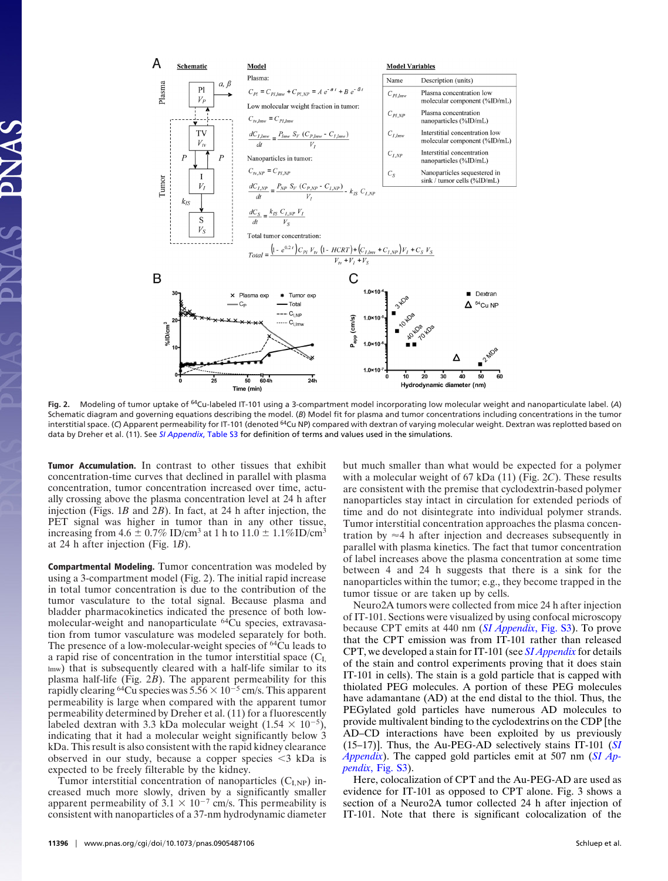

**Fig. 2.** Modeling of tumor uptake of 64Cu-labeled IT-101 using a 3-compartment model incorporating low molecular weight and nanoparticulate label. (*A*) Schematic diagram and governing equations describing the model. (*B*) Model fit for plasma and tumor concentrations including concentrations in the tumor interstitial space. (C) Apparent permeability for IT-101 (denoted <sup>64</sup>Cu NP) compared with dextran of varying molecular weight. Dextran was replotted based on data by Dreher et al. (11). See *[SI Appendix](http://www.pnas.org/cgi/data/0905487106/DCSupplemental/Appendix_PDF)*, Table S3 for definition of terms and values used in the simulations.

**Tumor Accumulation.** In contrast to other tissues that exhibit concentration-time curves that declined in parallel with plasma concentration, tumor concentration increased over time, actually crossing above the plasma concentration level at 24 h after injection (Figs. 1*B* and 2*B*). In fact, at 24 h after injection, the PET signal was higher in tumor than in any other tissue, increasing from  $4.6 \pm 0.7\%$  ID/cm<sup>3</sup> at 1 h to  $11.0 \pm 1.1\%$ ID/cm<sup>3</sup> at 24 h after injection (Fig. 1*B*).

**Compartmental Modeling.** Tumor concentration was modeled by using a 3-compartment model (Fig. 2). The initial rapid increase in total tumor concentration is due to the contribution of the tumor vasculature to the total signal. Because plasma and bladder pharmacokinetics indicated the presence of both lowmolecular-weight and nanoparticulate 64Cu species, extravasation from tumor vasculature was modeled separately for both. The presence of a low-molecular-weight species of 64Cu leads to a rapid rise of concentration in the tumor interstitial space  $(C<sub>L</sub>)$ lmw) that is subsequently cleared with a half-life similar to its plasma half-life (Fig. 2*B*). The apparent permeability for this rapidly clearing <sup>64</sup>Cu species was  $5.56 \times 10^{-5}$  cm/s. This apparent permeability is large when compared with the apparent tumor permeability determined by Dreher et al. (11) for a fluorescently labeled dextran with 3.3 kDa molecular weight  $(1.54 \times 10^{-5})$ , indicating that it had a molecular weight significantly below 3 kDa. This result is also consistent with the rapid kidney clearance observed in our study, because a copper species  $\leq$ 3 kDa is expected to be freely filterable by the kidney.

Tumor interstitial concentration of nanoparticles  $(C_{LNP})$  increased much more slowly, driven by a significantly smaller apparent permeability of  $3.1 \times 10^{-7}$  cm/s. This permeability is consistent with nanoparticles of a 37-nm hydrodynamic diameter but much smaller than what would be expected for a polymer with a molecular weight of 67 kDa (11) (Fig. 2*C*). These results are consistent with the premise that cyclodextrin-based polymer nanoparticles stay intact in circulation for extended periods of time and do not disintegrate into individual polymer strands. Tumor interstitial concentration approaches the plasma concentration by  $\approx$  4 h after injection and decreases subsequently in parallel with plasma kinetics. The fact that tumor concentration of label increases above the plasma concentration at some time between 4 and 24 h suggests that there is a sink for the nanoparticles within the tumor; e.g., they become trapped in the tumor tissue or are taken up by cells.

Neuro2A tumors were collected from mice 24 h after injection of IT-101. Sections were visualized by using confocal microscopy because CPT emits at 440 nm (*[SI Appendix](http://www.pnas.org/cgi/data/0905487106/DCSupplemental/Appendix_PDF)*, Fig. S3). To prove that the CPT emission was from IT-101 rather than released CPT, we developed a stain for IT-101 (see *[SI Appendix](http://www.pnas.org/cgi/data/0905487106/DCSupplemental/Appendix_PDF)* for details of the stain and control experiments proving that it does stain IT-101 in cells). The stain is a gold particle that is capped with thiolated PEG molecules. A portion of these PEG molecules have adamantane (AD) at the end distal to the thiol. Thus, the PEGylated gold particles have numerous AD molecules to provide multivalent binding to the cyclodextrins on the CDP [the AD–CD interactions have been exploited by us previously (15–17)]. Thus, the Au-PEG-AD selectively stains IT-101 (*[SI](http://www.pnas.org/cgi/data/0905487106/DCSupplemental/Appendix_PDF) [Appendix](http://www.pnas.org/cgi/data/0905487106/DCSupplemental/Appendix_PDF)*). The capped gold particles emit at 507 nm (*[SI Ap](http://www.pnas.org/cgi/data/0905487106/DCSupplemental/Appendix_PDF)pendix*[, Fig. S3\)](http://www.pnas.org/cgi/data/0905487106/DCSupplemental/Appendix_PDF).

Here, colocalization of CPT and the Au-PEG-AD are used as evidence for IT-101 as opposed to CPT alone. Fig. 3 shows a section of a Neuro2A tumor collected 24 h after injection of IT-101. Note that there is significant colocalization of the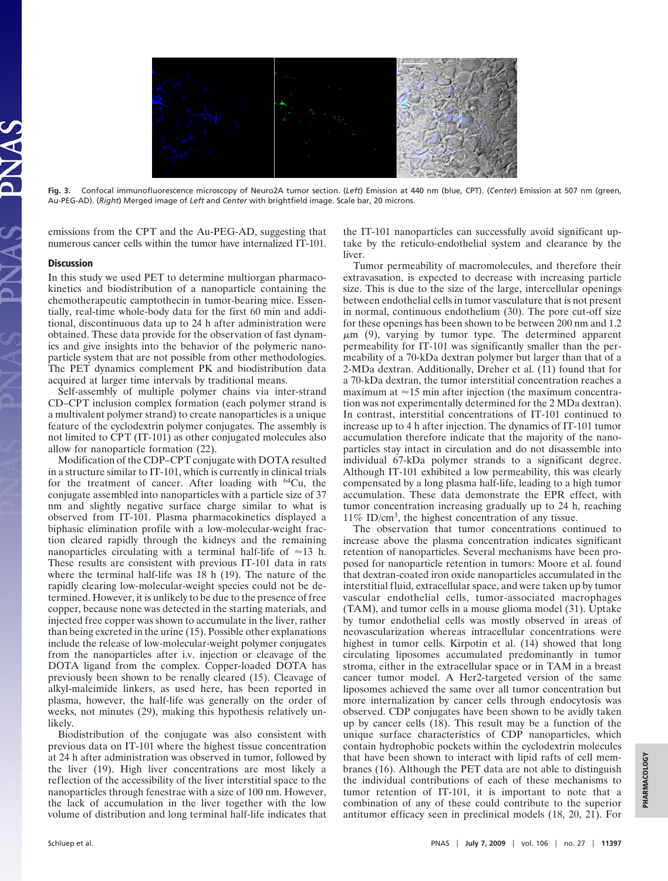

**Fig. 3.** Confocal immunofluorescence microscopy of Neuro2A tumor section. (*Left*) Emission at 440 nm (blue, CPT). (*Center*) Emission at 507 nm (green, Au-PEG-AD). (*Right*) Merged image of *Left* and *Center* with brightfield image. Scale bar, 20 microns.

emissions from the CPT and the Au-PEG-AD, suggesting that numerous cancer cells within the tumor have internalized IT-101.

## **Discussion**

In this study we used PET to determine multiorgan pharmacokinetics and biodistribution of a nanoparticle containing the chemotherapeutic camptothecin in tumor-bearing mice. Essentially, real-time whole-body data for the first 60 min and additional, discontinuous data up to 24 h after administration were obtained. These data provide for the observation of fast dynamics and give insights into the behavior of the polymeric nanoparticle system that are not possible from other methodologies. The PET dynamics complement PK and biodistribution data acquired at larger time intervals by traditional means.

Self-assembly of multiple polymer chains via inter-strand CD–CPT inclusion complex formation (each polymer strand is a multivalent polymer strand) to create nanoparticles is a unique feature of the cyclodextrin polymer conjugates. The assembly is not limited to CPT (IT-101) as other conjugated molecules also allow for nanoparticle formation (22).

Modification of the CDP–CPT conjugate with DOTA resulted in a structure similar to IT-101, which is currently in clinical trials for the treatment of cancer. After loading with  $64Cu$ , the conjugate assembled into nanoparticles with a particle size of 37 nm and slightly negative surface charge similar to what is observed from IT-101. Plasma pharmacokinetics displayed a biphasic elimination profile with a low-molecular-weight fraction cleared rapidly through the kidneys and the remaining nanoparticles circulating with a terminal half-life of  $\approx$ 13 h. These results are consistent with previous IT-101 data in rats where the terminal half-life was 18 h (19). The nature of the rapidly clearing low-molecular-weight species could not be determined. However, it is unlikely to be due to the presence of free copper, because none was detected in the starting materials, and injected free copper was shown to accumulate in the liver, rather than being excreted in the urine (15). Possible other explanations include the release of low-molecular-weight polymer conjugates from the nanoparticles after i.v. injection or cleavage of the DOTA ligand from the complex. Copper-loaded DOTA has previously been shown to be renally cleared (15). Cleavage of alkyl-maleimide linkers, as used here, has been reported in plasma, however, the half-life was generally on the order of weeks, not minutes (29), making this hypothesis relatively unlikely.

Biodistribution of the conjugate was also consistent with previous data on IT-101 where the highest tissue concentration at 24 h after administration was observed in tumor, followed by the liver (19). High liver concentrations are most likely a reflection of the accessibility of the liver interstitial space to the nanoparticles through fenestrae with a size of 100 nm. However, the lack of accumulation in the liver together with the low volume of distribution and long terminal half-life indicates that

the IT-101 nanoparticles can successfully avoid significant uptake by the reticulo-endothelial system and clearance by the liver.

Tumor permeability of macromolecules, and therefore their extravasation, is expected to decrease with increasing particle size. This is due to the size of the large, intercellular openings between endothelial cells in tumor vasculature that is not present in normal, continuous endothelium (30). The pore cut-off size for these openings has been shown to be between 200 nm and 1.2  $\mu$ m (9), varying by tumor type. The determined apparent permeability for IT-101 was significantly smaller than the permeability of a 70-kDa dextran polymer but larger than that of a 2-MDa dextran. Additionally, Dreher et al. (11) found that for a 70-kDa dextran, the tumor interstitial concentration reaches a maximum at  $\approx$ 15 min after injection (the maximum concentration was not experimentally determined for the 2 MDa dextran). In contrast, interstitial concentrations of IT-101 continued to increase up to 4 h after injection. The dynamics of IT-101 tumor accumulation therefore indicate that the majority of the nanoparticles stay intact in circulation and do not disassemble into individual 67-kDa polymer strands to a significant degree. Although IT-101 exhibited a low permeability, this was clearly compensated by a long plasma half-life, leading to a high tumor accumulation. These data demonstrate the EPR effect, with tumor concentration increasing gradually up to 24 h, reaching 11% ID/cm3, the highest concentration of any tissue.

The observation that tumor concentrations continued to increase above the plasma concentration indicates significant retention of nanoparticles. Several mechanisms have been proposed for nanoparticle retention in tumors: Moore et al. found that dextran-coated iron oxide nanoparticles accumulated in the interstitial fluid, extracellular space, and were taken up by tumor vascular endothelial cells, tumor-associated macrophages (TAM), and tumor cells in a mouse glioma model (31). Uptake by tumor endothelial cells was mostly observed in areas of neovascularization whereas intracellular concentrations were highest in tumor cells. Kirpotin et al. (14) showed that long circulating liposomes accumulated predominantly in tumor stroma, either in the extracellular space or in TAM in a breast cancer tumor model. A Her2-targeted version of the same liposomes achieved the same over all tumor concentration but more internalization by cancer cells through endocytosis was observed. CDP conjugates have been shown to be avidly taken up by cancer cells (18). This result may be a function of the unique surface characteristics of CDP nanoparticles, which contain hydrophobic pockets within the cyclodextrin molecules that have been shown to interact with lipid rafts of cell membranes (16). Although the PET data are not able to distinguish the individual contributions of each of these mechanisms to tumor retention of IT-101, it is important to note that a combination of any of these could contribute to the superior antitumor efficacy seen in preclinical models (18, 20, 21). For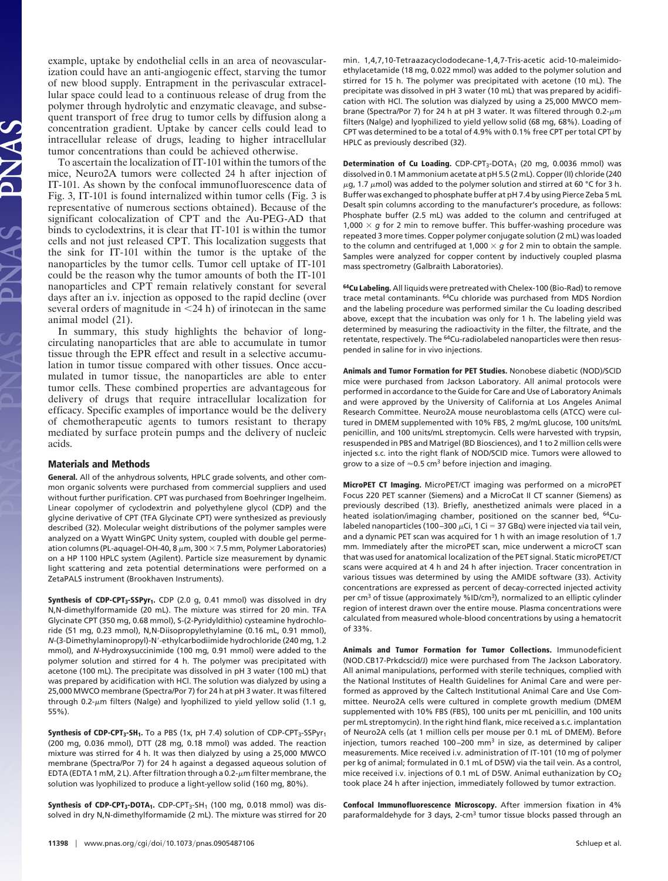example, uptake by endothelial cells in an area of neovascularization could have an anti-angiogenic effect, starving the tumor of new blood supply. Entrapment in the perivascular extracellular space could lead to a continuous release of drug from the polymer through hydrolytic and enzymatic cleavage, and subsequent transport of free drug to tumor cells by diffusion along a concentration gradient. Uptake by cancer cells could lead to intracellular release of drugs, leading to higher intracellular tumor concentrations than could be achieved otherwise.

To ascertain the localization of IT-101 within the tumors of the mice, Neuro2A tumors were collected 24 h after injection of IT-101. As shown by the confocal immunofluorescence data of Fig. 3, IT-101 is found internalized within tumor cells (Fig. 3 is representative of numerous sections obtained). Because of the significant colocalization of CPT and the Au-PEG-AD that binds to cyclodextrins, it is clear that IT-101 is within the tumor cells and not just released CPT. This localization suggests that the sink for IT-101 within the tumor is the uptake of the nanoparticles by the tumor cells. Tumor cell uptake of IT-101 could be the reason why the tumor amounts of both the IT-101 nanoparticles and CPT remain relatively constant for several days after an i.v. injection as opposed to the rapid decline (over several orders of magnitude in  $\leq$ 24 h) of irinotecan in the same animal model (21).

In summary, this study highlights the behavior of longcirculating nanoparticles that are able to accumulate in tumor tissue through the EPR effect and result in a selective accumulation in tumor tissue compared with other tissues. Once accumulated in tumor tissue, the nanoparticles are able to enter tumor cells. These combined properties are advantageous for delivery of drugs that require intracellular localization for efficacy. Specific examples of importance would be the delivery of chemotherapeutic agents to tumors resistant to therapy mediated by surface protein pumps and the delivery of nucleic acids.

## **Materials and Methods**

**General.** All of the anhydrous solvents, HPLC grade solvents, and other common organic solvents were purchased from commercial suppliers and used without further purification. CPT was purchased from Boehringer Ingelheim. Linear copolymer of cyclodextrin and polyethylene glycol (CDP) and the glycine derivative of CPT (TFA Glycinate CPT) were synthesized as previously described (32). Molecular weight distributions of the polymer samples were analyzed on a Wyatt WinGPC Unity system, coupled with double gel permeation columns (PL-aquagel-OH-40, 8  $\mu$ m, 300  $\times$  7.5 mm, Polymer Laboratories) on a HP 1100 HPLC system (Agilent). Particle size measurement by dynamic light scattering and zeta potential determinations were performed on a ZetaPALS instrument (Brookhaven Instruments).

Synthesis of CDP-CPT<sub>3</sub>-SSPyr<sub>1</sub>. CDP (2.0 g, 0.41 mmol) was dissolved in dry N,N-dimethylformamide (20 mL). The mixture was stirred for 20 min. TFA Glycinate CPT (350 mg, 0.68 mmol), S-(2-Pyridyldithio) cysteamine hydrochloride (51 mg, 0.23 mmol), N,N-Diisopropylethylamine (0.16 mL, 0.91 mmol), *N*-(3-Dimethylaminopropyl)-N'-ethylcarbodiimide hydrochloride (240 mg, 1.2 mmol), and *N-*Hydroxysuccinimide (100 mg, 0.91 mmol) were added to the polymer solution and stirred for 4 h. The polymer was precipitated with acetone (100 mL). The precipitate was dissolved in pH 3 water (100 mL) that was prepared by acidification with HCl. The solution was dialyzed by using a 25,000 MWCO membrane (Spectra/Por 7) for 24 h at pH 3 water. It was filtered through 0.2- $\mu$ m filters (Nalge) and lyophilized to yield yellow solid (1.1 g, 55%).

**Synthesis of CDP-CPT<sub>3</sub>-SH<sub>1</sub>.** To a PBS (1x, pH 7.4) solution of CDP-CPT<sub>3</sub>-SSPyr<sub>1</sub> (200 mg, 0.036 mmol), DTT (28 mg, 0.18 mmol) was added. The reaction mixture was stirred for 4 h. It was then dialyzed by using a 25,000 MWCO membrane (Spectra/Por 7) for 24 h against a degassed aqueous solution of EDTA (EDTA 1 mM, 2 L). After filtration through a 0.2- $\mu$ m filter membrane, the solution was lyophilized to produce a light-yellow solid (160 mg, 80%).

**Synthesis of CDP-CPT<sub>3</sub>-DOTA<sub>1</sub>.** CDP-CPT<sub>3</sub>-SH<sub>1</sub> (100 mg, 0.018 mmol) was dissolved in dry N,N-dimethylformamide (2 mL). The mixture was stirred for 20

**11398** | www.pnas.org/cgi/doi/10.1073/pnas.0905487106 Schluep et al.

min. 1,4,7,10-Tetraazacyclododecane-1,4,7-Tris-acetic acid-10-maleimidoethylacetamide (18 mg, 0.022 mmol) was added to the polymer solution and stirred for 15 h. The polymer was precipitated with acetone (10 mL). The precipitate was dissolved in pH 3 water (10 mL) that was prepared by acidification with HCl. The solution was dialyzed by using a 25,000 MWCO membrane (Spectra/Por 7) for 24 h at pH 3 water. It was filtered through 0.2- $\mu$ m filters (Nalge) and lyophilized to yield yellow solid (68 mg, 68%). Loading of CPT was determined to be a total of 4.9% with 0.1% free CPT per total CPT by HPLC as previously described (32).

**Determination of Cu Loading.** CDP-CPT<sub>3</sub>-DOTA<sub>1</sub> (20 mg, 0.0036 mmol) was dissolved in 0.1M ammonium acetate at pH 5.5 (2 mL). Copper (II) chloride (240  $\mu$ g, 1.7  $\mu$ mol) was added to the polymer solution and stirred at 60 °C for 3 h. Buffer was exchanged to phosphate buffer at pH 7.4 by using Pierce Zeba 5 mL Desalt spin columns according to the manufacturer's procedure, as follows: Phosphate buffer (2.5 mL) was added to the column and centrifuged at 1,000  $\times$  g for 2 min to remove buffer. This buffer-washing procedure was repeated 3 more times. Copper polymer conjugate solution (2 mL) was loaded to the column and centrifuged at 1,000  $\times$  g for 2 min to obtain the sample. Samples were analyzed for copper content by inductively coupled plasma mass spectrometry (Galbraith Laboratories).

**64Cu Labeling.** All liquids were pretreated with Chelex-100 (Bio-Rad) to remove trace metal contaminants. 64Cu chloride was purchased from MDS Nordion and the labeling procedure was performed similar the Cu loading described above, except that the incubation was only for 1 h. The labeling yield was determined by measuring the radioactivity in the filter, the filtrate, and the retentate, respectively. The <sup>64</sup>Cu-radiolabeled nanoparticles were then resuspended in saline for in vivo injections.

**Animals and Tumor Formation for PET Studies.** Nonobese diabetic (NOD)/SCID mice were purchased from Jackson Laboratory. All animal protocols were performed in accordance to the Guide for Care and Use of Laboratory Animals and were approved by the University of California at Los Angeles Animal Research Committee. Neuro2A mouse neuroblastoma cells (ATCC) were cultured in DMEM supplemented with 10% FBS, 2 mg/mL glucose, 100 units/mL penicillin, and 100 units/mL streptomycin. Cells were harvested with trypsin, resuspended in PBS and Matrigel (BD Biosciences), and 1 to 2 million cells were injected s.c. into the right flank of NOD/SCID mice. Tumors were allowed to grow to a size of  $\approx$  0.5 cm<sup>3</sup> before injection and imaging.

**MicroPET CT Imaging.** MicroPET/CT imaging was performed on a microPET Focus 220 PET scanner (Siemens) and a MicroCat II CT scanner (Siemens) as previously described (13). Briefly, anesthetized animals were placed in a heated isolation/imaging chamber, positioned on the scanner bed, <sup>64</sup>Culabeled nanoparticles (100–300  $\mu$ Ci, 1 Ci = 37 GBq) were injected via tail vein, and a dynamic PET scan was acquired for 1 h with an image resolution of 1.7 mm. Immediately after the microPET scan, mice underwent a microCT scan that was used for anatomical localization of the PET signal. Static microPET/CT scans were acquired at 4 h and 24 h after injection. Tracer concentration in various tissues was determined by using the AMIDE software (33). Activity concentrations are expressed as percent of decay-corrected injected activity per cm<sup>3</sup> of tissue (approximately %ID/cm<sup>3</sup>), normalized to an elliptic cylinder region of interest drawn over the entire mouse. Plasma concentrations were calculated from measured whole-blood concentrations by using a hematocrit of 33%.

**Animals and Tumor Formation for Tumor Collections.** Immunodeficient (NOD.CB17-Prkdcscid/J) mice were purchased from The Jackson Laboratory. All animal manipulations, performed with sterile techniques, complied with the National Institutes of Health Guidelines for Animal Care and were performed as approved by the Caltech Institutional Animal Care and Use Committee. Neuro2A cells were cultured in complete growth medium (DMEM supplemented with 10% FBS (FBS), 100 units per mL penicillin, and 100 units per mL streptomycin). In the right hind flank, mice received a s.c. implantation of Neuro2A cells (at 1 million cells per mouse per 0.1 mL of DMEM). Before injection, tumors reached 100-200 mm<sup>3</sup> in size, as determined by caliper measurements. Mice received i.v. administration of IT-101 (10 mg of polymer per kg of animal; formulated in 0.1 mL of D5W) via the tail vein. As a control, mice received i.v. injections of 0.1 mL of D5W. Animal euthanization by  $CO<sub>2</sub>$ took place 24 h after injection, immediately followed by tumor extraction.

**Confocal Immunofluorescence Microscopy.** After immersion fixation in 4% paraformaldehyde for 3 days, 2-cm<sup>3</sup> tumor tissue blocks passed through an